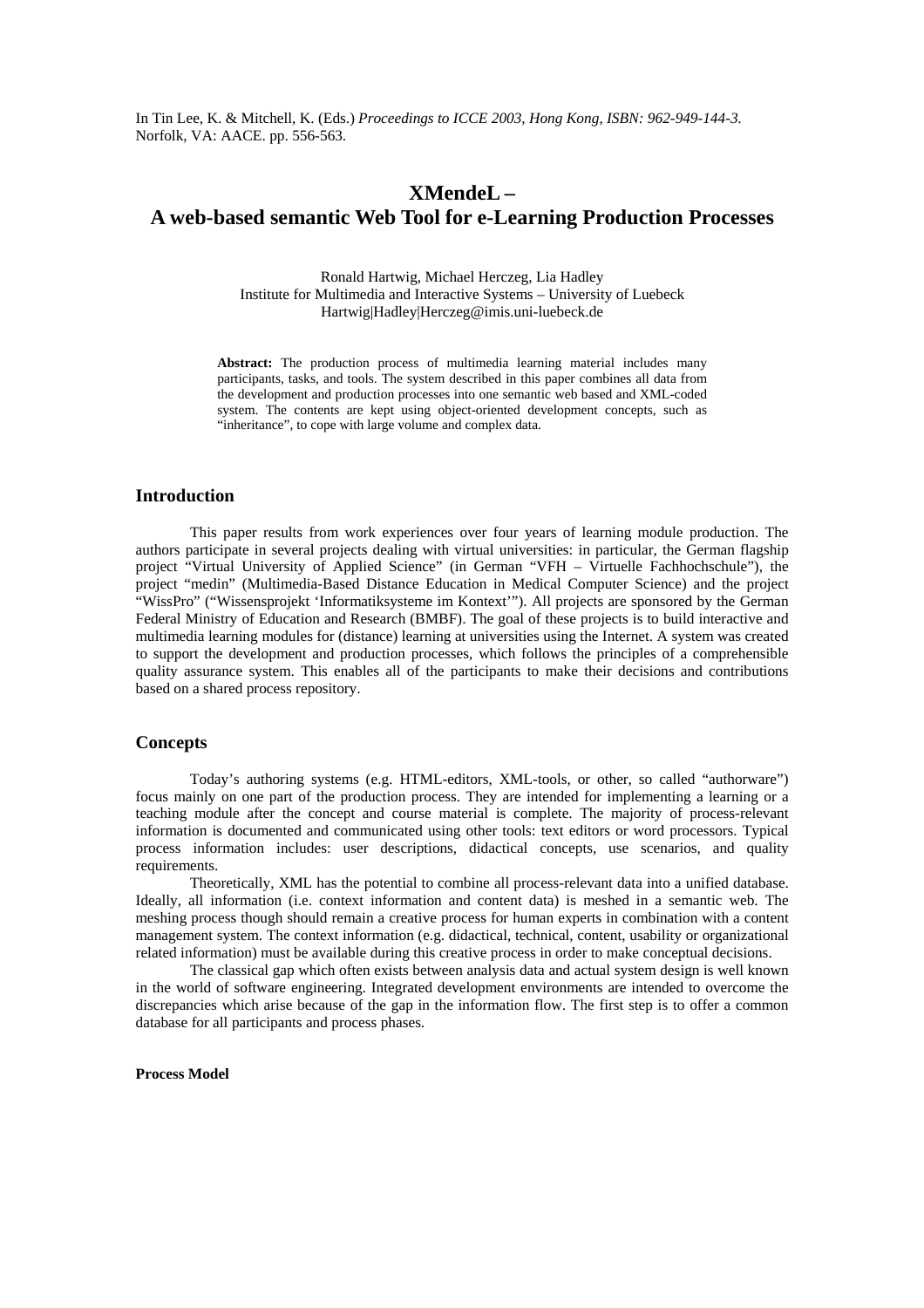In Tin Lee, K. & Mitchell, K. (Eds.) *Proceedings to ICCE 2003, Hong Kong, ISBN: 962-949-144-3*. Norfolk, VA: AACE. pp. 556-563.

# **XMendeL – A web-based semantic Web Tool for e-Learning Production Processes**

Ronald Hartwig, Michael Herczeg, Lia Hadley Institute for Multimedia and Interactive Systems – University of Luebeck Hartwig|Hadley|Herczeg@imis.uni-luebeck.de

**Abstract:** The production process of multimedia learning material includes many participants, tasks, and tools. The system described in this paper combines all data from the development and production processes into one semantic web based and XML-coded system. The contents are kept using object-oriented development concepts, such as "inheritance", to cope with large volume and complex data.

# **Introduction**

This paper results from work experiences over four years of learning module production. The authors participate in several projects dealing with virtual universities: in particular, the German flagship project "Virtual University of Applied Science" (in German "VFH – Virtuelle Fachhochschule"), the project "medin" (Multimedia-Based Distance Education in Medical Computer Science) and the project "WissPro" ("Wissensprojekt 'Informatiksysteme im Kontext'"). All projects are sponsored by the German Federal Ministry of Education and Research (BMBF). The goal of these projects is to build interactive and multimedia learning modules for (distance) learning at universities using the Internet. A system was created to support the development and production processes, which follows the principles of a comprehensible quality assurance system. This enables all of the participants to make their decisions and contributions based on a shared process repository.

# **Concepts**

Today's authoring systems (e.g. HTML-editors, XML-tools, or other, so called "authorware") focus mainly on one part of the production process. They are intended for implementing a learning or a teaching module after the concept and course material is complete. The majority of process-relevant information is documented and communicated using other tools: text editors or word processors. Typical process information includes: user descriptions, didactical concepts, use scenarios, and quality requirements.

Theoretically, XML has the potential to combine all process-relevant data into a unified database. Ideally, all information (i.e. context information and content data) is meshed in a semantic web. The meshing process though should remain a creative process for human experts in combination with a content management system. The context information (e.g. didactical, technical, content, usability or organizational related information) must be available during this creative process in order to make conceptual decisions.

The classical gap which often exists between analysis data and actual system design is well known in the world of software engineering. Integrated development environments are intended to overcome the discrepancies which arise because of the gap in the information flow. The first step is to offer a common database for all participants and process phases.

### **Process Model**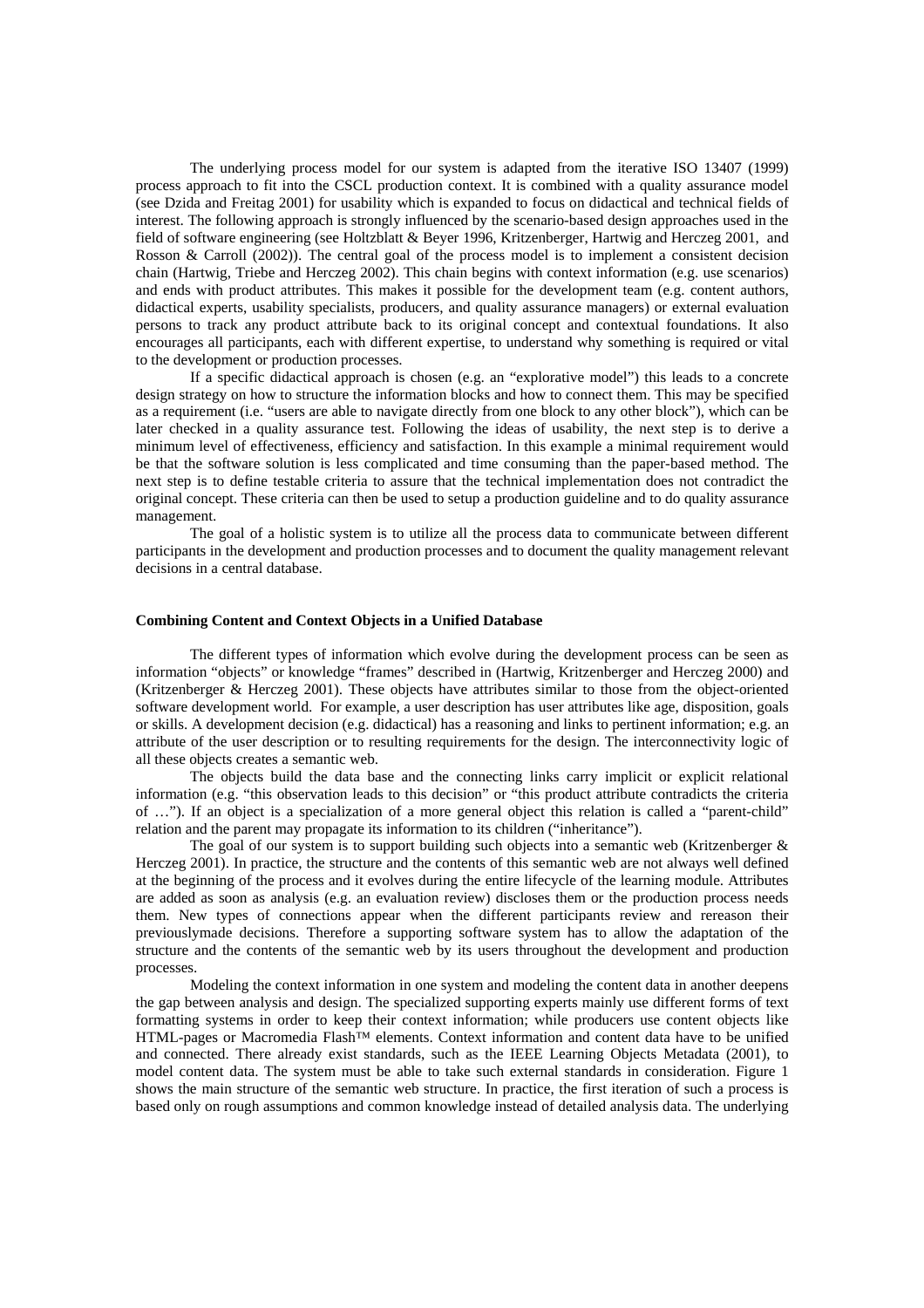The underlying process model for our system is adapted from the iterative ISO 13407 (1999) process approach to fit into the CSCL production context. It is combined with a quality assurance model (see Dzida and Freitag 2001) for usability which is expanded to focus on didactical and technical fields of interest. The following approach is strongly influenced by the scenario-based design approaches used in the field of software engineering (see Holtzblatt & Beyer 1996, Kritzenberger, Hartwig and Herczeg 2001, and Rosson & Carroll (2002)). The central goal of the process model is to implement a consistent decision chain (Hartwig, Triebe and Herczeg 2002). This chain begins with context information (e.g. use scenarios) and ends with product attributes. This makes it possible for the development team (e.g. content authors, didactical experts, usability specialists, producers, and quality assurance managers) or external evaluation persons to track any product attribute back to its original concept and contextual foundations. It also encourages all participants, each with different expertise, to understand why something is required or vital to the development or production processes.

If a specific didactical approach is chosen (e.g. an "explorative model") this leads to a concrete design strategy on how to structure the information blocks and how to connect them. This may be specified as a requirement (i.e. "users are able to navigate directly from one block to any other block"), which can be later checked in a quality assurance test. Following the ideas of usability, the next step is to derive a minimum level of effectiveness, efficiency and satisfaction. In this example a minimal requirement would be that the software solution is less complicated and time consuming than the paper-based method. The next step is to define testable criteria to assure that the technical implementation does not contradict the original concept. These criteria can then be used to setup a production guideline and to do quality assurance management.

The goal of a holistic system is to utilize all the process data to communicate between different participants in the development and production processes and to document the quality management relevant decisions in a central database.

### **Combining Content and Context Objects in a Unified Database**

The different types of information which evolve during the development process can be seen as information "objects" or knowledge "frames" described in (Hartwig, Kritzenberger and Herczeg 2000) and (Kritzenberger & Herczeg 2001). These objects have attributes similar to those from the object-oriented software development world. For example, a user description has user attributes like age, disposition, goals or skills. A development decision (e.g. didactical) has a reasoning and links to pertinent information; e.g. an attribute of the user description or to resulting requirements for the design. The interconnectivity logic of all these objects creates a semantic web.

The objects build the data base and the connecting links carry implicit or explicit relational information (e.g. "this observation leads to this decision" or "this product attribute contradicts the criteria of …"). If an object is a specialization of a more general object this relation is called a "parent-child" relation and the parent may propagate its information to its children ("inheritance").

The goal of our system is to support building such objects into a semantic web (Kritzenberger  $\&$ Herczeg 2001). In practice, the structure and the contents of this semantic web are not always well defined at the beginning of the process and it evolves during the entire lifecycle of the learning module. Attributes are added as soon as analysis (e.g. an evaluation review) discloses them or the production process needs them. New types of connections appear when the different participants review and rereason their previouslymade decisions. Therefore a supporting software system has to allow the adaptation of the structure and the contents of the semantic web by its users throughout the development and production processes.

Modeling the context information in one system and modeling the content data in another deepens the gap between analysis and design. The specialized supporting experts mainly use different forms of text formatting systems in order to keep their context information; while producers use content objects like HTML-pages or Macromedia Flash™ elements. Context information and content data have to be unified and connected. There already exist standards, such as the IEEE Learning Objects Metadata (2001), to model content data. The system must be able to take such external standards in consideration. Figure 1 shows the main structure of the semantic web structure. In practice, the first iteration of such a process is based only on rough assumptions and common knowledge instead of detailed analysis data. The underlying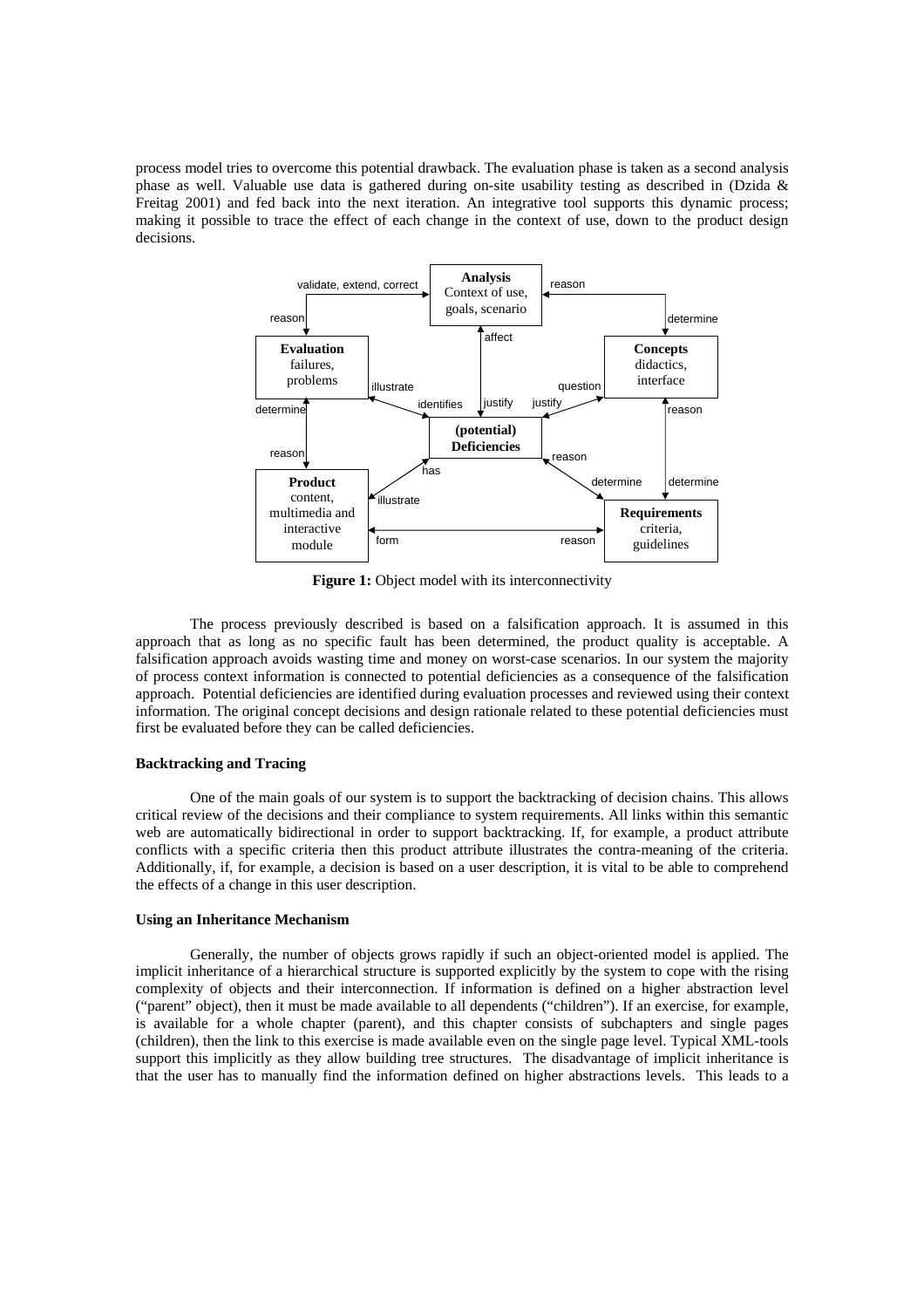process model tries to overcome this potential drawback. The evaluation phase is taken as a second analysis phase as well. Valuable use data is gathered during on-site usability testing as described in (Dzida & Freitag 2001) and fed back into the next iteration. An integrative tool supports this dynamic process; making it possible to trace the effect of each change in the context of use, down to the product design decisions.



**Figure 1:** Object model with its interconnectivity

The process previously described is based on a falsification approach. It is assumed in this approach that as long as no specific fault has been determined, the product quality is acceptable. A falsification approach avoids wasting time and money on worst-case scenarios. In our system the majority of process context information is connected to potential deficiencies as a consequence of the falsification approach. Potential deficiencies are identified during evaluation processes and reviewed using their context information. The original concept decisions and design rationale related to these potential deficiencies must first be evaluated before they can be called deficiencies.

### **Backtracking and Tracing**

One of the main goals of our system is to support the backtracking of decision chains. This allows critical review of the decisions and their compliance to system requirements. All links within this semantic web are automatically bidirectional in order to support backtracking. If, for example, a product attribute conflicts with a specific criteria then this product attribute illustrates the contra-meaning of the criteria. Additionally, if, for example, a decision is based on a user description, it is vital to be able to comprehend the effects of a change in this user description.

#### **Using an Inheritance Mechanism**

Generally, the number of objects grows rapidly if such an object-oriented model is applied. The implicit inheritance of a hierarchical structure is supported explicitly by the system to cope with the rising complexity of objects and their interconnection. If information is defined on a higher abstraction level ("parent" object), then it must be made available to all dependents ("children"). If an exercise, for example, is available for a whole chapter (parent), and this chapter consists of subchapters and single pages (children), then the link to this exercise is made available even on the single page level. Typical XML-tools support this implicitly as they allow building tree structures. The disadvantage of implicit inheritance is that the user has to manually find the information defined on higher abstractions levels. This leads to a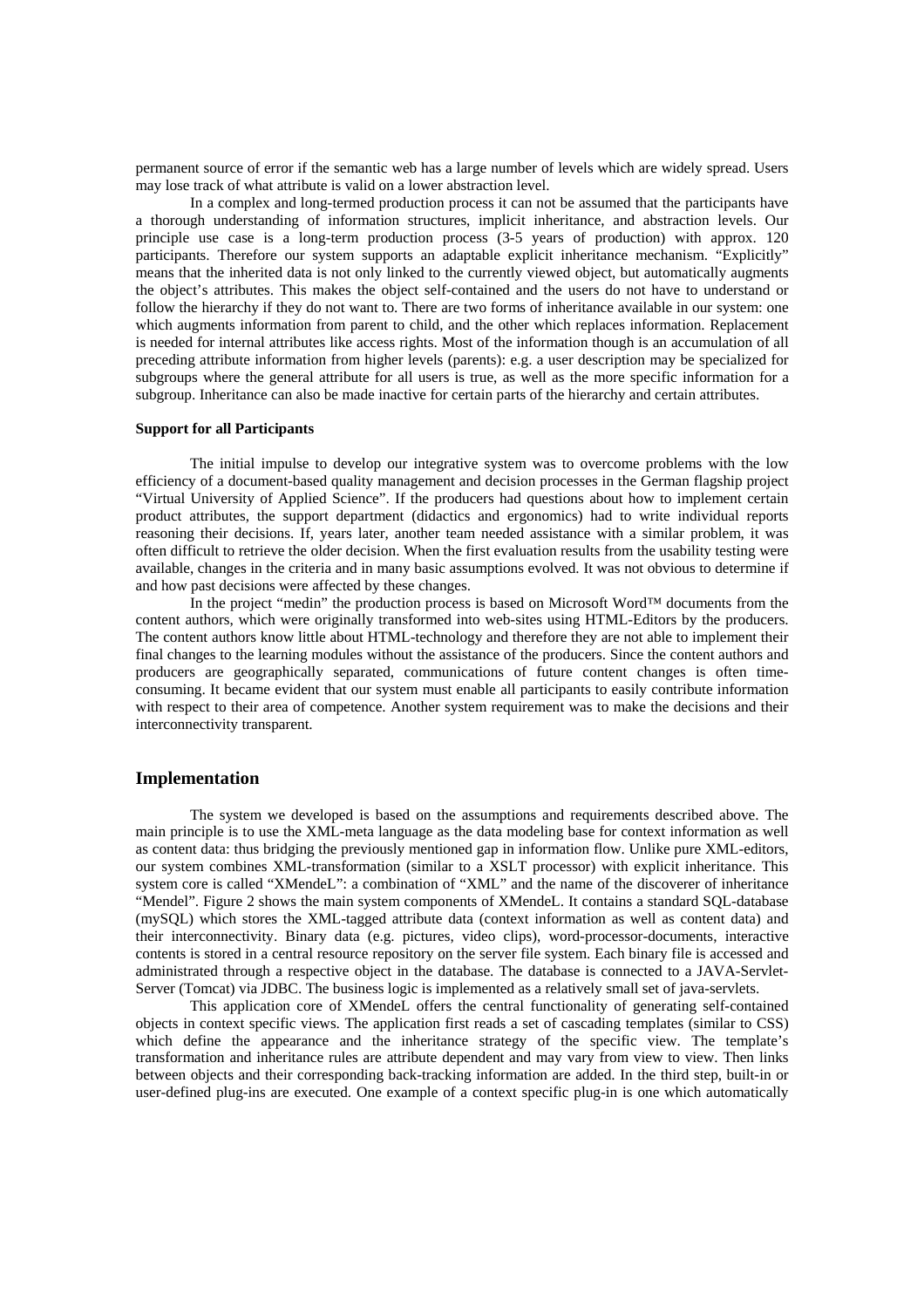permanent source of error if the semantic web has a large number of levels which are widely spread. Users may lose track of what attribute is valid on a lower abstraction level.

In a complex and long-termed production process it can not be assumed that the participants have a thorough understanding of information structures, implicit inheritance, and abstraction levels. Our principle use case is a long-term production process (3-5 years of production) with approx. 120 participants. Therefore our system supports an adaptable explicit inheritance mechanism. "Explicitly" means that the inherited data is not only linked to the currently viewed object, but automatically augments the object's attributes. This makes the object self-contained and the users do not have to understand or follow the hierarchy if they do not want to. There are two forms of inheritance available in our system: one which augments information from parent to child, and the other which replaces information. Replacement is needed for internal attributes like access rights. Most of the information though is an accumulation of all preceding attribute information from higher levels (parents): e.g. a user description may be specialized for subgroups where the general attribute for all users is true, as well as the more specific information for a subgroup. Inheritance can also be made inactive for certain parts of the hierarchy and certain attributes.

#### **Support for all Participants**

The initial impulse to develop our integrative system was to overcome problems with the low efficiency of a document-based quality management and decision processes in the German flagship project "Virtual University of Applied Science". If the producers had questions about how to implement certain product attributes, the support department (didactics and ergonomics) had to write individual reports reasoning their decisions. If, years later, another team needed assistance with a similar problem, it was often difficult to retrieve the older decision. When the first evaluation results from the usability testing were available, changes in the criteria and in many basic assumptions evolved. It was not obvious to determine if and how past decisions were affected by these changes.

In the project "medin" the production process is based on Microsoft Word™ documents from the content authors, which were originally transformed into web-sites using HTML-Editors by the producers. The content authors know little about HTML-technology and therefore they are not able to implement their final changes to the learning modules without the assistance of the producers. Since the content authors and producers are geographically separated, communications of future content changes is often timeconsuming. It became evident that our system must enable all participants to easily contribute information with respect to their area of competence. Another system requirement was to make the decisions and their interconnectivity transparent.

### **Implementation**

The system we developed is based on the assumptions and requirements described above. The main principle is to use the XML-meta language as the data modeling base for context information as well as content data: thus bridging the previously mentioned gap in information flow. Unlike pure XML-editors, our system combines XML-transformation (similar to a XSLT processor) with explicit inheritance. This system core is called "XMendeL": a combination of "XML" and the name of the discoverer of inheritance "Mendel". Figure 2 shows the main system components of XMendeL. It contains a standard SQL-database (mySQL) which stores the XML-tagged attribute data (context information as well as content data) and their interconnectivity. Binary data (e.g. pictures, video clips), word-processor-documents, interactive contents is stored in a central resource repository on the server file system. Each binary file is accessed and administrated through a respective object in the database. The database is connected to a JAVA-Servlet-Server (Tomcat) via JDBC. The business logic is implemented as a relatively small set of java-servlets.

This application core of XMendeL offers the central functionality of generating self-contained objects in context specific views. The application first reads a set of cascading templates (similar to CSS) which define the appearance and the inheritance strategy of the specific view. The template's transformation and inheritance rules are attribute dependent and may vary from view to view. Then links between objects and their corresponding back-tracking information are added. In the third step, built-in or user-defined plug-ins are executed. One example of a context specific plug-in is one which automatically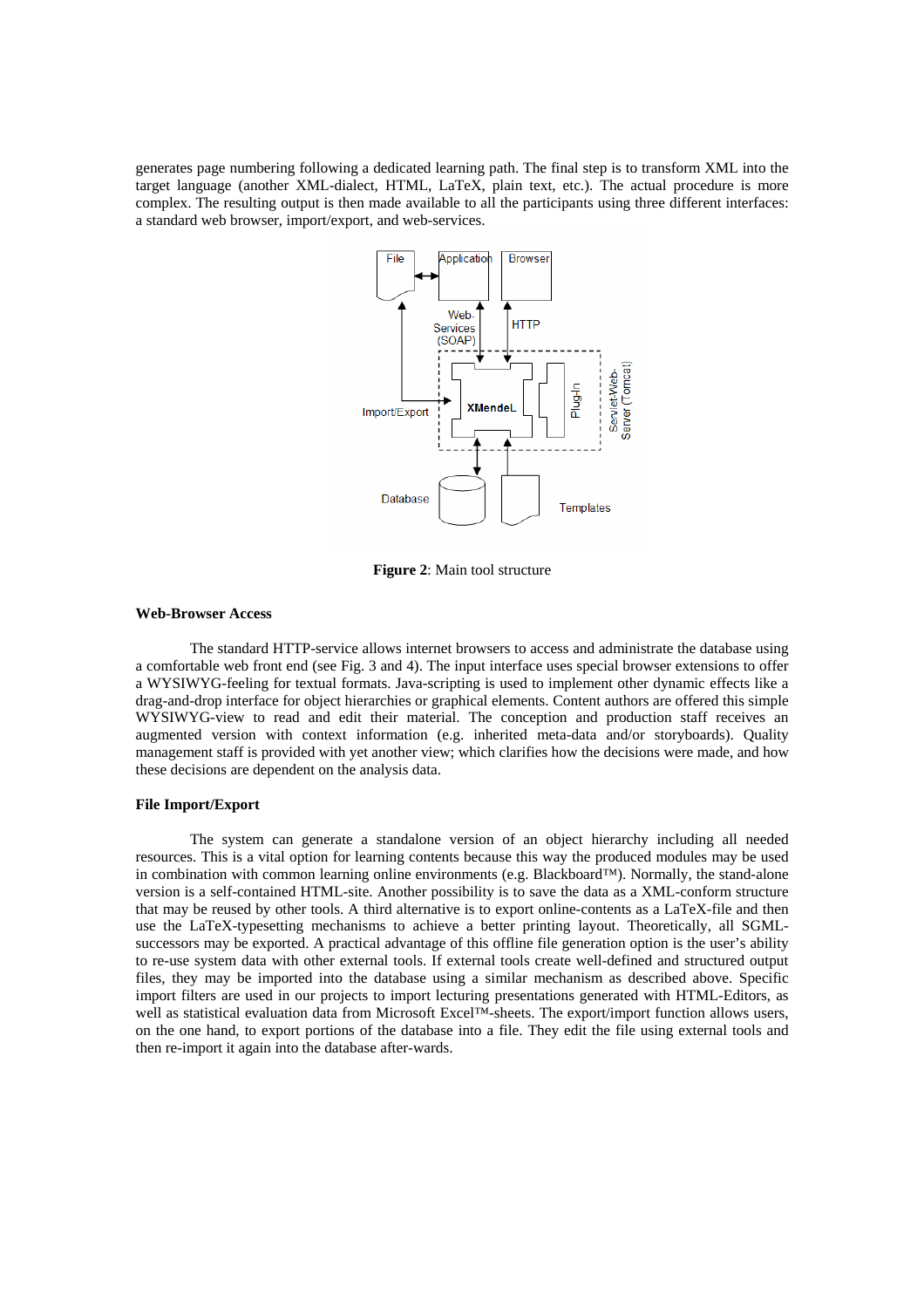generates page numbering following a dedicated learning path. The final step is to transform XML into the target language (another XML-dialect, HTML, LaTeX, plain text, etc.). The actual procedure is more complex. The resulting output is then made available to all the participants using three different interfaces: a standard web browser, import/export, and web-services.



**Figure 2**: Main tool structure

#### **Web-Browser Access**

The standard HTTP-service allows internet browsers to access and administrate the database using a comfortable web front end (see Fig. 3 and 4). The input interface uses special browser extensions to offer a WYSIWYG-feeling for textual formats. Java-scripting is used to implement other dynamic effects like a drag-and-drop interface for object hierarchies or graphical elements. Content authors are offered this simple WYSIWYG-view to read and edit their material. The conception and production staff receives an augmented version with context information (e.g. inherited meta-data and/or storyboards). Quality management staff is provided with yet another view; which clarifies how the decisions were made, and how these decisions are dependent on the analysis data.

#### **File Import/Export**

The system can generate a standalone version of an object hierarchy including all needed resources. This is a vital option for learning contents because this way the produced modules may be used in combination with common learning online environments (e.g. Blackboard™). Normally, the stand-alone version is a self-contained HTML-site. Another possibility is to save the data as a XML-conform structure that may be reused by other tools. A third alternative is to export online-contents as a LaTeX-file and then use the LaTeX-typesetting mechanisms to achieve a better printing layout. Theoretically, all SGMLsuccessors may be exported. A practical advantage of this offline file generation option is the user's ability to re-use system data with other external tools. If external tools create well-defined and structured output files, they may be imported into the database using a similar mechanism as described above. Specific import filters are used in our projects to import lecturing presentations generated with HTML-Editors, as well as statistical evaluation data from Microsoft Excel™-sheets. The export/import function allows users, on the one hand, to export portions of the database into a file. They edit the file using external tools and then re-import it again into the database after-wards.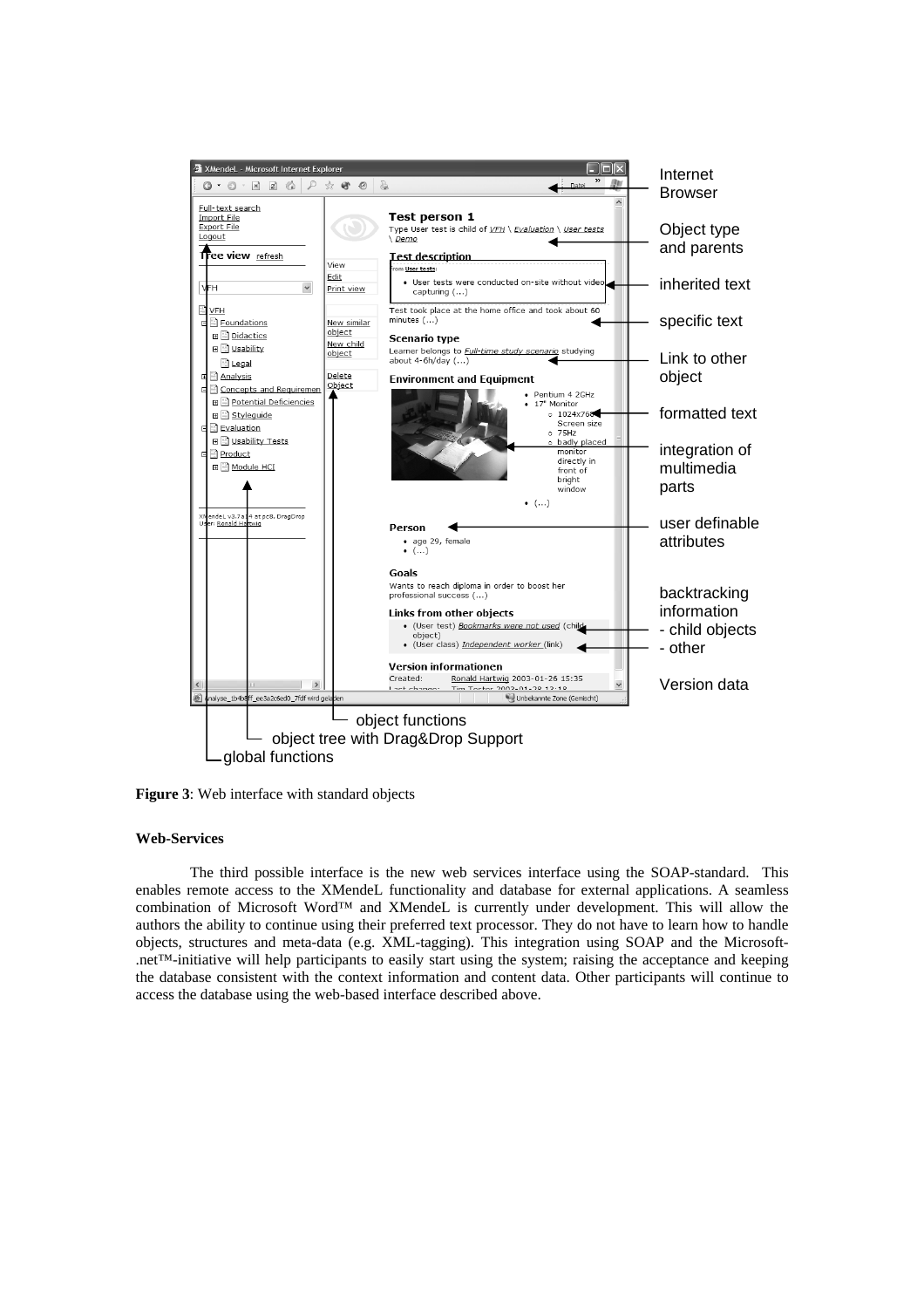

**Figure 3**: Web interface with standard objects

### **Web-Services**

The third possible interface is the new web services interface using the SOAP-standard. This enables remote access to the XMendeL functionality and database for external applications. A seamless combination of Microsoft Word™ and XMendeL is currently under development. This will allow the authors the ability to continue using their preferred text processor. They do not have to learn how to handle objects, structures and meta-data (e.g. XML-tagging). This integration using SOAP and the Microsoft- .net™-initiative will help participants to easily start using the system; raising the acceptance and keeping the database consistent with the context information and content data. Other participants will continue to access the database using the web-based interface described above.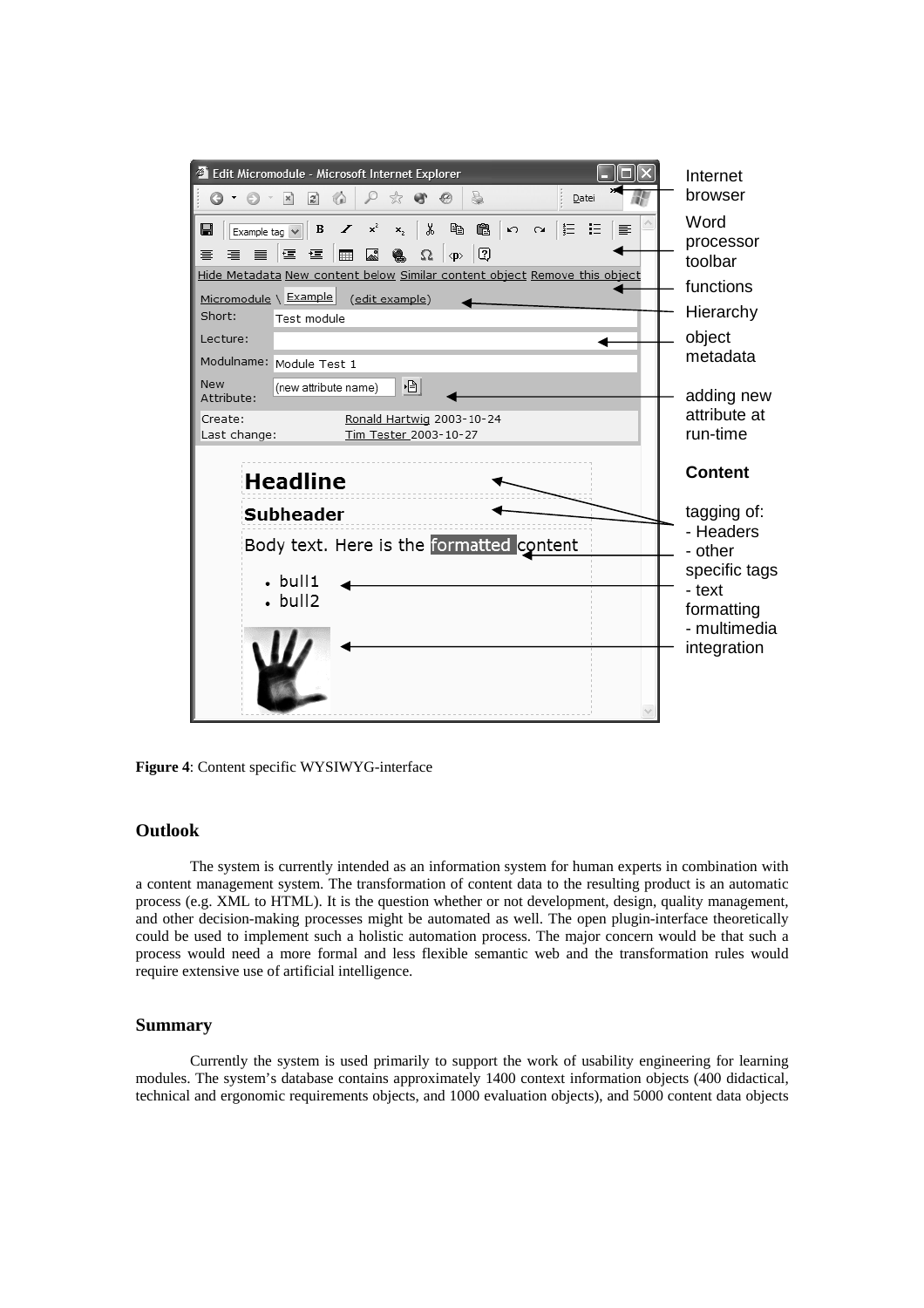

**Figure 4**: Content specific WYSIWYG-interface

# **Outlook**

The system is currently intended as an information system for human experts in combination with a content management system. The transformation of content data to the resulting product is an automatic process (e.g. XML to HTML). It is the question whether or not development, design, quality management, and other decision-making processes might be automated as well. The open plugin-interface theoretically could be used to implement such a holistic automation process. The major concern would be that such a process would need a more formal and less flexible semantic web and the transformation rules would require extensive use of artificial intelligence.

# **Summary**

Currently the system is used primarily to support the work of usability engineering for learning modules. The system's database contains approximately 1400 context information objects (400 didactical, technical and ergonomic requirements objects, and 1000 evaluation objects), and 5000 content data objects